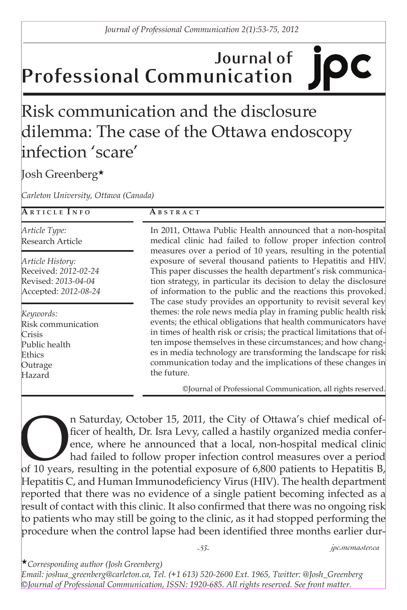# **Journal of Professional Communication**

## Risk communication and the disclosure dilemma: The case of the Ottawa endoscopy infection 'scare'

#### Josh Greenberg★

*Carleton University, Ottawa (Canada)*

| <b>ARTICLE INFO</b>               | ABSTRACT                                                                                                                    |
|-----------------------------------|-----------------------------------------------------------------------------------------------------------------------------|
| Article Type:<br>Research Article | In 2011, Ottawa Public Health announced that a non-hospital<br>medical clinic had failed to follow proper infection control |
|                                   | measures over a period of 10 years, resulting in the potential                                                              |
| Article History:                  | exposure of several thousand patients to Hepatitis and HIV.                                                                 |
| Received: 2012-02-24              | This paper discusses the health department's risk communica-                                                                |
| Revised: 2013-04-04               | tion strategy, in particular its decision to delay the disclosure                                                           |
| Accepted: 2012-08-24              | of information to the public and the reactions this provoked.                                                               |
|                                   | The case study provides an opportunity to revisit several key                                                               |
| Keywords:                         | themes: the role news media play in framing public health risk                                                              |
| Risk communication                | events; the ethical obligations that health communicators have                                                              |
| Crisis                            | in times of health risk or crisis; the practical limitations that of-                                                       |
| Public health                     | ten impose themselves in these circumstances; and how chang-                                                                |
| Ethics                            | es in media technology are transforming the landscape for risk                                                              |
| Outrage                           | communication today and the implications of these changes in                                                                |
| Hazard                            | the future.                                                                                                                 |
|                                   | ©Journal of Professional Communication, all rights reserved.                                                                |

n Saturday, October 15, 2011, the City of Ottawa's chief medical of-<br>ficer of health, Dr. Isra Levy, called a hastily organized media confer-<br>ence, where he announced that a local, non-hospital medical clinic<br>had failed to ficer of health, Dr. Isra Levy, called a hastily organized media conference, where he announced that a local, non-hospital medical clinic had failed to follow proper infection control measures over a period of 10 years, resulting in the potential exposure of 6,800 patients to Hepatitis B, Hepatitis C, and Human Immunodeficiency Virus (HIV). The health department reported that there was no evidence of a single patient becoming infected as a result of contact with this clinic. It also confirmed that there was no ongoing risk to patients who may still be going to the clinic, as it had stopped performing the procedure when the control lapse had been identified three months earlier dur-

*-53- jpc.mcmaster.ca*

★*Corresponding author (Josh Greenberg)* 

*Email: joshua\_greenberg@carleton.ca, Tel. (+1 613) 520-2600 Ext. 1965, Twitter: @Josh\_Greenberg ©Journal of Professional Communication, ISSN: 1920-685. All rights reserved. See front matter.*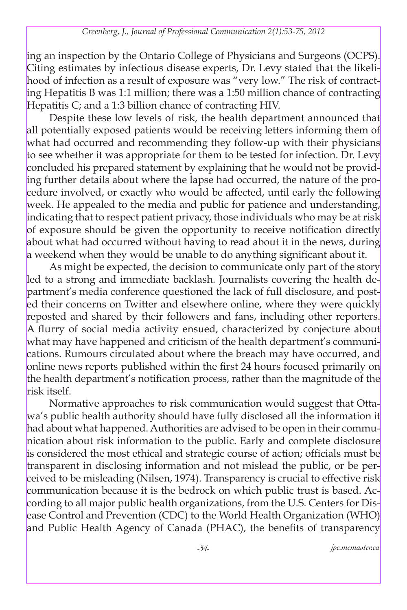ing an inspection by the Ontario College of Physicians and Surgeons (OCPS). Citing estimates by infectious disease experts, Dr. Levy stated that the likelihood of infection as a result of exposure was "very low." The risk of contracting Hepatitis B was 1:1 million; there was a 1:50 million chance of contracting Hepatitis C; and a 1:3 billion chance of contracting HIV.

Despite these low levels of risk, the health department announced that all potentially exposed patients would be receiving letters informing them of what had occurred and recommending they follow-up with their physicians to see whether it was appropriate for them to be tested for infection. Dr. Levy concluded his prepared statement by explaining that he would not be providing further details about where the lapse had occurred, the nature of the procedure involved, or exactly who would be affected, until early the following week. He appealed to the media and public for patience and understanding, indicating that to respect patient privacy, those individuals who may be at risk of exposure should be given the opportunity to receive notification directly about what had occurred without having to read about it in the news, during a weekend when they would be unable to do anything significant about it.

As might be expected, the decision to communicate only part of the story led to a strong and immediate backlash. Journalists covering the health department's media conference questioned the lack of full disclosure, and posted their concerns on Twitter and elsewhere online, where they were quickly reposted and shared by their followers and fans, including other reporters. A flurry of social media activity ensued, characterized by conjecture about what may have happened and criticism of the health department's communications. Rumours circulated about where the breach may have occurred, and online news reports published within the first 24 hours focused primarily on the health department's notification process, rather than the magnitude of the risk itself.

Normative approaches to risk communication would suggest that Ottawa's public health authority should have fully disclosed all the information it had about what happened. Authorities are advised to be open in their communication about risk information to the public. Early and complete disclosure is considered the most ethical and strategic course of action; officials must be transparent in disclosing information and not mislead the public, or be perceived to be misleading (Nilsen, 1974). Transparency is crucial to effective risk communication because it is the bedrock on which public trust is based. According to all major public health organizations, from the U.S. Centers for Disease Control and Prevention (CDC) to the World Health Organization (WHO) and Public Health Agency of Canada (PHAC), the benefits of transparency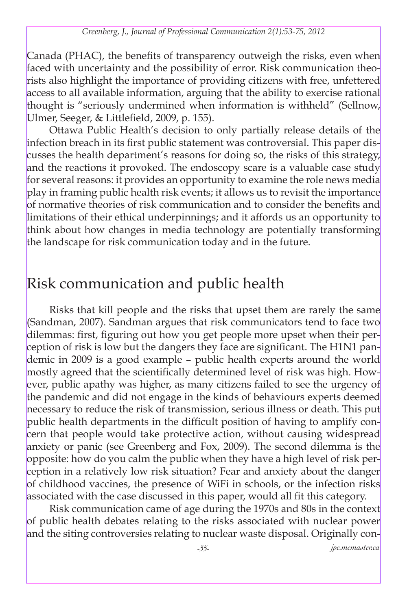Canada (PHAC), the benefits of transparency outweigh the risks, even when faced with uncertainty and the possibility of error. Risk communication theorists also highlight the importance of providing citizens with free, unfettered access to all available information, arguing that the ability to exercise rational thought is "seriously undermined when information is withheld" (Sellnow, Ulmer, Seeger, & Littlefield, 2009, p. 155).

Ottawa Public Health's decision to only partially release details of the infection breach in its first public statement was controversial. This paper discusses the health department's reasons for doing so, the risks of this strategy, and the reactions it provoked. The endoscopy scare is a valuable case study for several reasons: it provides an opportunity to examine the role news media play in framing public health risk events; it allows us to revisit the importance of normative theories of risk communication and to consider the benefits and limitations of their ethical underpinnings; and it affords us an opportunity to think about how changes in media technology are potentially transforming the landscape for risk communication today and in the future.

#### Risk communication and public health

Risks that kill people and the risks that upset them are rarely the same (Sandman, 2007). Sandman argues that risk communicators tend to face two dilemmas: first, figuring out how you get people more upset when their perception of risk is low but the dangers they face are significant. The H1N1 pandemic in 2009 is a good example – public health experts around the world mostly agreed that the scientifically determined level of risk was high. However, public apathy was higher, as many citizens failed to see the urgency of the pandemic and did not engage in the kinds of behaviours experts deemed necessary to reduce the risk of transmission, serious illness or death. This put public health departments in the difficult position of having to amplify concern that people would take protective action, without causing widespread anxiety or panic (see Greenberg and Fox, 2009). The second dilemma is the opposite: how do you calm the public when they have a high level of risk perception in a relatively low risk situation? Fear and anxiety about the danger of childhood vaccines, the presence of WiFi in schools, or the infection risks associated with the case discussed in this paper, would all fit this category.

Risk communication came of age during the 1970s and 80s in the context of public health debates relating to the risks associated with nuclear power and the siting controversies relating to nuclear waste disposal. Originally con-

*-55- jpc.mcmaster.ca*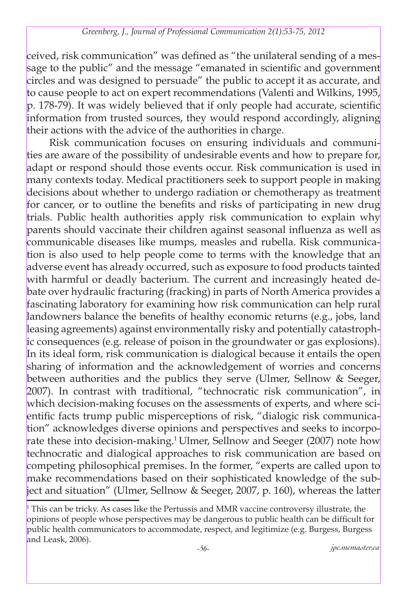ceived, risk communication" was defined as "the unilateral sending of a message to the public" and the message "emanated in scientific and government circles and was designed to persuade" the public to accept it as accurate, and to cause people to act on expert recommendations (Valenti and Wilkins, 1995,  $p. 178-79$ ). It was widely believed that if only people had accurate, scientific information from trusted sources, they would respond accordingly, aligning their actions with the advice of the authorities in charge.

Risk communication focuses on ensuring individuals and communities are aware of the possibility of undesirable events and how to prepare for, adapt or respond should those events occur. Risk communication is used in many contexts today. Medical practitioners seek to support people in making decisions about whether to undergo radiation or chemotherapy as treatment for cancer, or to outline the benefits and risks of participating in new drug trials. Public health authorities apply risk communication to explain why parents should vaccinate their children against seasonal influenza as well as communicable diseases like mumps, measles and rubella. Risk communication is also used to help people come to terms with the knowledge that an adverse event has already occurred, such as exposure to food products tainted with harmful or deadly bacterium. The current and increasingly heated debate over hydraulic fracturing (fracking) in parts of North America provides a fascinating laboratory for examining how risk communication can help rural landowners balance the benefits of healthy economic returns (e.g., jobs, land leasing agreements) against environmentally risky and potentially catastrophic consequences (e.g. release of poison in the groundwater or gas explosions). In its ideal form, risk communication is dialogical because it entails the open sharing of information and the acknowledgement of worries and concerns between authorities and the publics they serve (Ulmer, Sellnow & Seeger, 2007). In contrast with traditional, "technocratic risk communication", in which decision-making focuses on the assessments of experts, and where scientific facts trump public misperceptions of risk, "dialogic risk communication" acknowledges diverse opinions and perspectives and seeks to incorporate these into decision-making.<sup>1</sup> Ulmer, Sellnow and Seeger (2007) note how technocratic and dialogical approaches to risk communication are based on competing philosophical premises. In the former, "experts are called upon to make recommendations based on their sophisticated knowledge of the subject and situation" (Ulmer, Sellnow & Seeger, 2007, p. 160), whereas the latter

<sup>1</sup> This can be tricky. As cases like the Pertussis and MMR vaccine controversy illustrate, the opinions of people whose perspectives may be dangerous to public health can be difficult for public health communicators to accommodate, respect, and legitimize (e.g. Burgess, Burgess and Leask, 2006).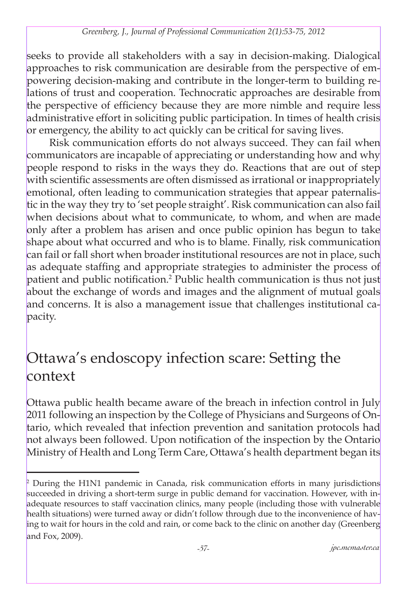seeks to provide all stakeholders with a say in decision-making. Dialogical approaches to risk communication are desirable from the perspective of empowering decision-making and contribute in the longer-term to building relations of trust and cooperation. Technocratic approaches are desirable from the perspective of efficiency because they are more nimble and require less administrative effort in soliciting public participation. In times of health crisis or emergency, the ability to act quickly can be critical for saving lives.

Risk communication efforts do not always succeed. They can fail when communicators are incapable of appreciating or understanding how and why people respond to risks in the ways they do. Reactions that are out of step with scientific assessments are often dismissed as irrational or inappropriately emotional, often leading to communication strategies that appear paternalistic in the way they try to 'set people straight'. Risk communication can also fail when decisions about what to communicate, to whom, and when are made only after a problem has arisen and once public opinion has begun to take shape about what occurred and who is to blame. Finally, risk communication can fail or fall short when broader institutional resources are not in place, such as adequate staffing and appropriate strategies to administer the process of patient and public notification.<sup>2</sup> Public health communication is thus not just about the exchange of words and images and the alignment of mutual goals and concerns. It is also a management issue that challenges institutional capacity.

#### Ottawa's endoscopy infection scare: Setting the context

Ottawa public health became aware of the breach in infection control in July 2011 following an inspection by the College of Physicians and Surgeons of Ontario, which revealed that infection prevention and sanitation protocols had not always been followed. Upon notification of the inspection by the Ontario Ministry of Health and Long Term Care, Ottawa's health department began its

<sup>2</sup> During the H1N1 pandemic in Canada, risk communication efforts in many jurisdictions succeeded in driving a short-term surge in public demand for vaccination. However, with inadequate resources to staff vaccination clinics, many people (including those with vulnerable health situations) were turned away or didn't follow through due to the inconvenience of having to wait for hours in the cold and rain, or come back to the clinic on another day (Greenberg and Fox, 2009).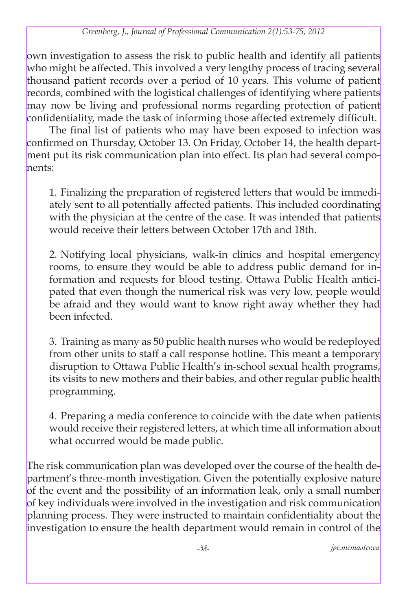own investigation to assess the risk to public health and identify all patients who might be affected. This involved a very lengthy process of tracing several thousand patient records over a period of 10 years. This volume of patient records, combined with the logistical challenges of identifying where patients may now be living and professional norms regarding protection of patient confidentiality, made the task of informing those affected extremely difficult.

The final list of patients who may have been exposed to infection was confirmed on Thursday, October 13. On Friday, October 14, the health department put its risk communication plan into effect. Its plan had several components:

1. Finalizing the preparation of registered letters that would be immediately sent to all potentially affected patients. This included coordinating with the physician at the centre of the case. It was intended that patients would receive their letters between October 17th and 18th.

2. Notifying local physicians, walk-in clinics and hospital emergency rooms, to ensure they would be able to address public demand for information and requests for blood testing. Ottawa Public Health anticipated that even though the numerical risk was very low, people would be afraid and they would want to know right away whether they had been infected.

3. Training as many as 50 public health nurses who would be redeployed from other units to staff a call response hotline. This meant a temporary disruption to Ottawa Public Health's in-school sexual health programs, its visits to new mothers and their babies, and other regular public health programming.

4. Preparing a media conference to coincide with the date when patients would receive their registered letters, at which time all information about what occurred would be made public.

The risk communication plan was developed over the course of the health department's three-month investigation. Given the potentially explosive nature of the event and the possibility of an information leak, only a small number of key individuals were involved in the investigation and risk communication planning process. They were instructed to maintain confidentiality about the investigation to ensure the health department would remain in control of the

*-58- jpc.mcmaster.ca*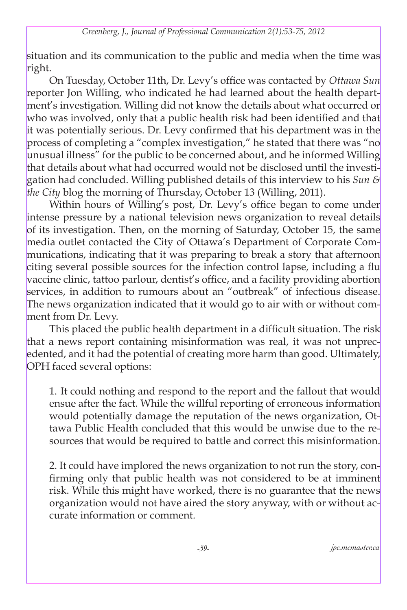situation and its communication to the public and media when the time was right.

On Tuesday, October 11th, Dr. Levy's office was contacted by *Ottawa Sun*  reporter Jon Willing, who indicated he had learned about the health department's investigation. Willing did not know the details about what occurred or who was involved, only that a public health risk had been identified and that it was potentially serious. Dr. Levy confirmed that his department was in the process of completing a "complex investigation," he stated that there was "no unusual illness" for the public to be concerned about, and he informed Willing that details about what had occurred would not be disclosed until the investigation had concluded. Willing published details of this interview to his *Sun & the City* blog the morning of Thursday, October 13 (Willing, 2011).

Within hours of Willing's post, Dr. Levy's office began to come under intense pressure by a national television news organization to reveal details of its investigation. Then, on the morning of Saturday, October 15, the same media outlet contacted the City of Ottawa's Department of Corporate Communications, indicating that it was preparing to break a story that afternoon citing several possible sources for the infection control lapse, including a flu vaccine clinic, tattoo parlour, dentist's office, and a facility providing abortion services, in addition to rumours about an "outbreak" of infectious disease. The news organization indicated that it would go to air with or without comment from Dr. Levy.

This placed the public health department in a difficult situation. The risk that a news report containing misinformation was real, it was not unprecedented, and it had the potential of creating more harm than good. Ultimately, OPH faced several options:

1. It could nothing and respond to the report and the fallout that would ensue after the fact. While the willful reporting of erroneous information would potentially damage the reputation of the news organization, Ottawa Public Health concluded that this would be unwise due to the resources that would be required to battle and correct this misinformation.

2. It could have implored the news organization to not run the story, confirming only that public health was not considered to be at imminent risk. While this might have worked, there is no guarantee that the news organization would not have aired the story anyway, with or without accurate information or comment.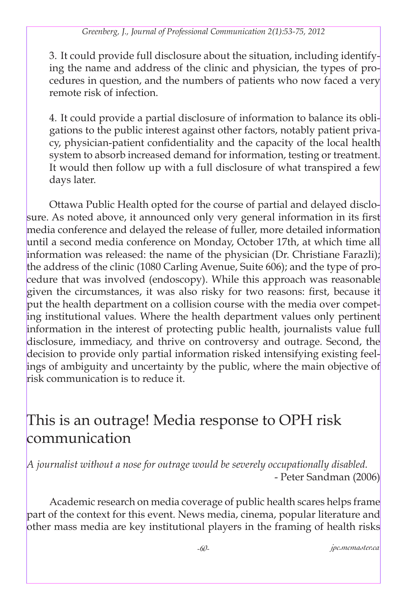3. It could provide full disclosure about the situation, including identifying the name and address of the clinic and physician, the types of procedures in question, and the numbers of patients who now faced a very remote risk of infection.

4. It could provide a partial disclosure of information to balance its obligations to the public interest against other factors, notably patient privacy, physician-patient confidentiality and the capacity of the local health system to absorb increased demand for information, testing or treatment. It would then follow up with a full disclosure of what transpired a few days later.

Ottawa Public Health opted for the course of partial and delayed disclosure. As noted above, it announced only very general information in its first media conference and delayed the release of fuller, more detailed information until a second media conference on Monday, October 17th, at which time all information was released: the name of the physician (Dr. Christiane Farazli); the address of the clinic (1080 Carling Avenue, Suite 606); and the type of procedure that was involved (endoscopy). While this approach was reasonable given the circumstances, it was also risky for two reasons: first, because it put the health department on a collision course with the media over competing institutional values. Where the health department values only pertinent information in the interest of protecting public health, journalists value full disclosure, immediacy, and thrive on controversy and outrage. Second, the decision to provide only partial information risked intensifying existing feelings of ambiguity and uncertainty by the public, where the main objective of risk communication is to reduce it.

#### This is an outrage! Media response to OPH risk communication

*A journalist without a nose for outrage would be severely occupationally disabled.* - Peter Sandman (2006)

Academic research on media coverage of public health scares helps frame part of the context for this event. News media, cinema, popular literature and other mass media are key institutional players in the framing of health risks

*-60- jpc.mcmaster.ca*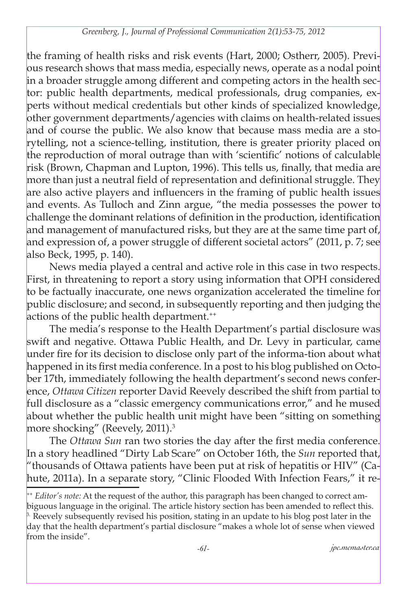the framing of health risks and risk events (Hart, 2000; Ostherr, 2005). Previous research shows that mass media, especially news, operate as a nodal point in a broader struggle among different and competing actors in the health sector: public health departments, medical professionals, drug companies, experts without medical credentials but other kinds of specialized knowledge, other government departments/agencies with claims on health-related issues and of course the public. We also know that because mass media are a storytelling, not a science-telling, institution, there is greater priority placed on the reproduction of moral outrage than with 'scientific' notions of calculable risk (Brown, Chapman and Lupton, 1996). This tells us, finally, that media are more than just a neutral field of representation and definitional struggle. They are also active players and influencers in the framing of public health issues and events. As Tulloch and Zinn argue, "the media possesses the power to challenge the dominant relations of definition in the production, identification and management of manufactured risks, but they are at the same time part of, and expression of, a power struggle of different societal actors" (2011, p. 7; see also Beck, 1995, p. 140).

News media played a central and active role in this case in two respects. First, in threatening to report a story using information that OPH considered to be factually inaccurate, one news organization accelerated the timeline for public disclosure; and second, in subsequently reporting and then judging the actions of the public health department.<sup>++</sup>

The media's response to the Health Department's partial disclosure was swift and negative. Ottawa Public Health, and Dr. Levy in particular, came under fire for its decision to disclose only part of the informa-tion about what happened in its first media conference. In a post to his blog published on October 17th, immediately following the health department's second news conference, *Ottawa Citizen* reporter David Reevely described the shift from partial to full disclosure as a "classic emergency communications error," and he mused about whether the public health unit might have been "sitting on something more shocking" (Reevely, 2011).<sup>3</sup>

The *Ottawa Sun* ran two stories the day after the first media conference. In a story headlined "Dirty Lab Scare" on October 16th, the *Sun* reported that, "thousands of Ottawa patients have been put at risk of hepatitis or  $HIV''$  (Cahute, 2011a). In a separate story, "Clinic Flooded With Infection Fears," it re-

<sup>&</sup>lt;sup>++</sup> *Editor's note:* At the request of the author, this paragraph has been changed to correct ambiguous language in the original. The article history section has been amended to reflect this.  $3.$  Reevely subsequently revised his position, stating in an update to his blog post later in the day that the health department's partial disclosure "makes a whole lot of sense when viewed from the inside".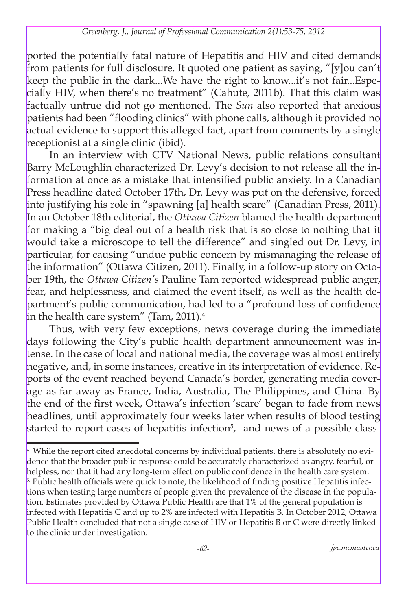ported the potentially fatal nature of Hepatitis and HIV and cited demands from patients for full disclosure. It quoted one patient as saying, "[y]ou can't keep the public in the dark...We have the right to know...it's not fair...Especially HIV, when there's no treatment" (Cahute, 2011b). That this claim was factually untrue did not go mentioned. The *Sun* also reported that anxious patients had been "flooding clinics" with phone calls, although it provided no actual evidence to support this alleged fact, apart from comments by a single receptionist at a single clinic (ibid).

In an interview with CTV National News, public relations consultant Barry McLoughlin characterized Dr. Levy's decision to not release all the information at once as a mistake that intensified public anxiety. In a Canadian Press headline dated October 17th, Dr. Levy was put on the defensive, forced into justifying his role in "spawning [a] health scare" (Canadian Press, 2011). In an October 18th editorial, the *Ottawa Citizen* blamed the health department for making a "big deal out of a health risk that is so close to nothing that it would take a microscope to tell the difference" and singled out Dr. Levy, in particular, for causing "undue public concern by mismanaging the release of the information" (Ottawa Citizen, 2011). Finally, in a follow-up story on October 19th, the *Ottawa Citizen's* Pauline Tam reported widespread public anger, fear, and helplessness, and claimed the event itself, as well as the health department's public communication, had led to a "profound loss of confidence in the health care system" (Tam, 2011).<sup>4</sup>

Thus, with very few exceptions, news coverage during the immediate days following the City's public health department announcement was intense. In the case of local and national media, the coverage was almost entirely negative, and, in some instances, creative in its interpretation of evidence. Reports of the event reached beyond Canada's border, generating media coverage as far away as France, India, Australia, The Philippines, and China. By the end of the first week, Ottawa's infection 'scare' began to fade from news headlines, until approximately four weeks later when results of blood testing started to report cases of hepatitis infection<sup>5</sup>, and news of a possible class-

 $4$ . While the report cited anecdotal concerns by individual patients, there is absolutely no evidence that the broader public response could be accurately characterized as angry, fearful, or helpless, nor that it had any long-term effect on public confidence in the health care system.  $5$ . Public health officials were quick to note, the likelihood of finding positive Hepatitis infections when testing large numbers of people given the prevalence of the disease in the population. Estimates provided by Ottawa Public Health are that 1% of the general population is infected with Hepatitis C and up to 2% are infected with Hepatitis B. In October 2012, Ottawa Public Health concluded that not a single case of HIV or Hepatitis B or C were directly linked to the clinic under investigation.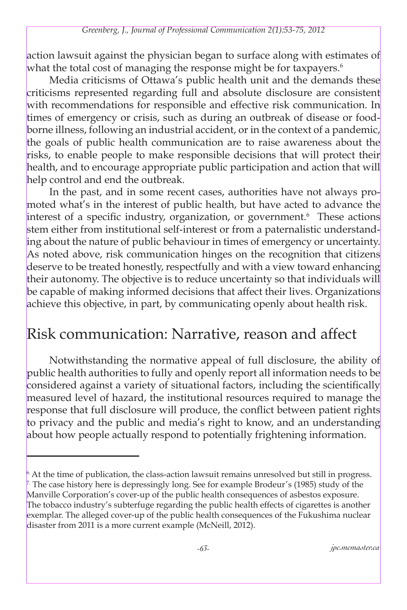action lawsuit against the physician began to surface along with estimates of what the total cost of managing the response might be for taxpayers.<sup>6</sup>

Media criticisms of Ottawa's public health unit and the demands these criticisms represented regarding full and absolute disclosure are consistent with recommendations for responsible and effective risk communication. In times of emergency or crisis, such as during an outbreak of disease or foodborne illness, following an industrial accident, or in the context of a pandemic, the goals of public health communication are to raise awareness about the risks, to enable people to make responsible decisions that will protect their health, and to encourage appropriate public participation and action that will help control and end the outbreak.

In the past, and in some recent cases, authorities have not always promoted what's in the interest of public health, but have acted to advance the interest of a specific industry, organization, or government.<sup>6</sup> These actions stem either from institutional self-interest or from a paternalistic understanding about the nature of public behaviour in times of emergency or uncertainty. As noted above, risk communication hinges on the recognition that citizens deserve to be treated honestly, respectfully and with a view toward enhancing their autonomy. The objective is to reduce uncertainty so that individuals will be capable of making informed decisions that affect their lives. Organizations achieve this objective, in part, by communicating openly about health risk.

#### Risk communication: Narrative, reason and affect

Notwithstanding the normative appeal of full disclosure, the ability of public health authorities to fully and openly report all information needs to be considered against a variety of situational factors, including the scientifically measured level of hazard, the institutional resources required to manage the response that full disclosure will produce, the conflict between patient rights to privacy and the public and media's right to know, and an understanding about how people actually respond to potentially frightening information.

 $6.$  At the time of publication, the class-action lawsuit remains unresolved but still in progress.  $7<sup>7</sup>$ . The case history here is depressingly long. See for example Brodeur's (1985) study of the Manville Corporation's cover-up of the public health consequences of asbestos exposure. The tobacco industry's subterfuge regarding the public health effects of cigarettes is another exemplar. The alleged cover-up of the public health consequences of the Fukushima nuclear disaster from 2011 is a more current example (McNeill, 2012).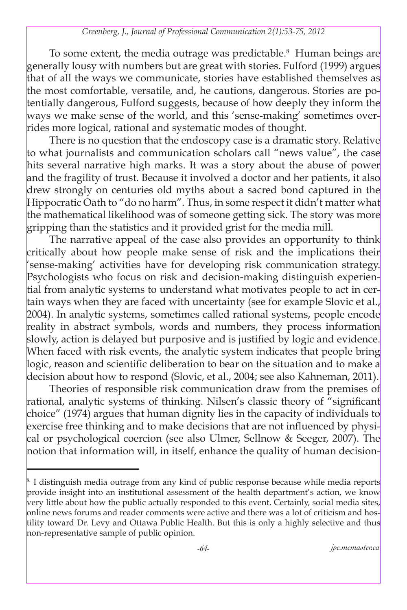To some extent, the media outrage was predictable.<sup>8</sup> Human beings are generally lousy with numbers but are great with stories. Fulford (1999) argues that of all the ways we communicate, stories have established themselves as the most comfortable, versatile, and, he cautions, dangerous. Stories are potentially dangerous, Fulford suggests, because of how deeply they inform the ways we make sense of the world, and this 'sense-making' sometimes overrides more logical, rational and systematic modes of thought.

There is no question that the endoscopy case is a dramatic story. Relative to what journalists and communication scholars call "news value", the case hits several narrative high marks. It was a story about the abuse of power and the fragility of trust. Because it involved a doctor and her patients, it also drew strongly on centuries old myths about a sacred bond captured in the Hippocratic Oath to "do no harm". Thus, in some respect it didn't matter what the mathematical likelihood was of someone getting sick. The story was more gripping than the statistics and it provided grist for the media mill.

The narrative appeal of the case also provides an opportunity to think critically about how people make sense of risk and the implications their 'sense-making' activities have for developing risk communication strategy. Psychologists who focus on risk and decision-making distinguish experiential from analytic systems to understand what motivates people to act in certain ways when they are faced with uncertainty (see for example Slovic et al., 2004). In analytic systems, sometimes called rational systems, people encode reality in abstract symbols, words and numbers, they process information slowly, action is delayed but purposive and is justified by logic and evidence. When faced with risk events, the analytic system indicates that people bring logic, reason and scientific deliberation to bear on the situation and to make a decision about how to respond (Slovic, et al., 2004; see also Kahneman, 2011).

Theories of responsible risk communication draw from the premises of rational, analytic systems of thinking. Nilsen's classic theory of "significant choice" (1974) argues that human dignity lies in the capacity of individuals to exercise free thinking and to make decisions that are not influenced by physical or psychological coercion (see also Ulmer, Sellnow & Seeger, 2007). The notion that information will, in itself, enhance the quality of human decision-

<sup>&</sup>lt;sup>8</sup>. I distinguish media outrage from any kind of public response because while media reports provide insight into an institutional assessment of the health department's action, we know very little about how the public actually responded to this event. Certainly, social media sites, online news forums and reader comments were active and there was a lot of criticism and hostility toward Dr. Levy and Ottawa Public Health. But this is only a highly selective and thus non-representative sample of public opinion.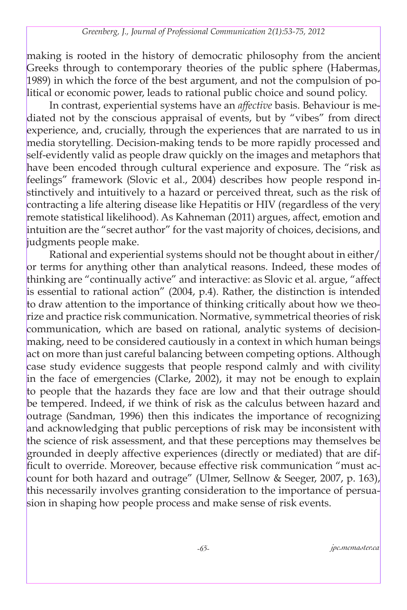making is rooted in the history of democratic philosophy from the ancient Greeks through to contemporary theories of the public sphere (Habermas, 1989) in which the force of the best argument, and not the compulsion of political or economic power, leads to rational public choice and sound policy.

In contrast, experiential systems have an *affective* basis. Behaviour is mediated not by the conscious appraisal of events, but by "vibes" from direct experience, and, crucially, through the experiences that are narrated to us in media storytelling. Decision-making tends to be more rapidly processed and self-evidently valid as people draw quickly on the images and metaphors that have been encoded through cultural experience and exposure. The "risk as feelings" framework (Slovic et al., 2004) describes how people respond instinctively and intuitively to a hazard or perceived threat, such as the risk of contracting a life altering disease like Hepatitis or HIV (regardless of the very remote statistical likelihood). As Kahneman (2011) argues, affect, emotion and intuition are the "secret author" for the vast majority of choices, decisions, and judgments people make.

Rational and experiential systems should not be thought about in either/ or terms for anything other than analytical reasons. Indeed, these modes of thinking are "continually active" and interactive: as Slovic et al. argue, "affect is essential to rational action" (2004, p.4). Rather, the distinction is intended to draw attention to the importance of thinking critically about how we theorize and practice risk communication. Normative, symmetrical theories of risk communication, which are based on rational, analytic systems of decisionmaking, need to be considered cautiously in a context in which human beings act on more than just careful balancing between competing options. Although case study evidence suggests that people respond calmly and with civility in the face of emergencies (Clarke, 2002), it may not be enough to explain to people that the hazards they face are low and that their outrage should be tempered. Indeed, if we think of risk as the calculus between hazard and outrage (Sandman, 1996) then this indicates the importance of recognizing and acknowledging that public perceptions of risk may be inconsistent with the science of risk assessment, and that these perceptions may themselves be grounded in deeply affective experiences (directly or mediated) that are difficult to override. Moreover, because effective risk communication "must account for both hazard and outrage" (Ulmer, Sellnow & Seeger, 2007, p. 163), this necessarily involves granting consideration to the importance of persuasion in shaping how people process and make sense of risk events.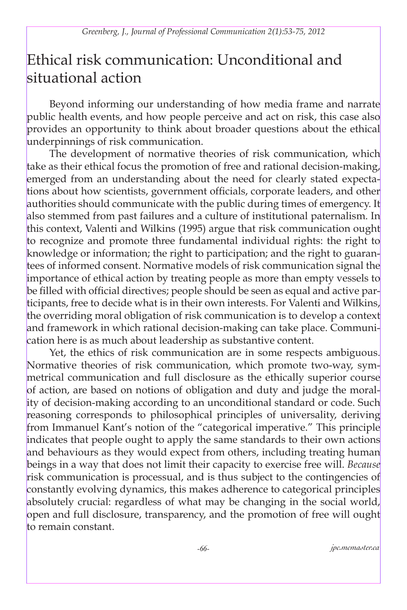#### Ethical risk communication: Unconditional and situational action

Beyond informing our understanding of how media frame and narrate public health events, and how people perceive and act on risk, this case also provides an opportunity to think about broader questions about the ethical underpinnings of risk communication.

The development of normative theories of risk communication, which take as their ethical focus the promotion of free and rational decision-making, emerged from an understanding about the need for clearly stated expectations about how scientists, government officials, corporate leaders, and other authorities should communicate with the public during times of emergency. It also stemmed from past failures and a culture of institutional paternalism. In this context, Valenti and Wilkins (1995) argue that risk communication ought to recognize and promote three fundamental individual rights: the right to knowledge or information; the right to participation; and the right to guarantees of informed consent. Normative models of risk communication signal the importance of ethical action by treating people as more than empty vessels to be filled with official directives; people should be seen as equal and active participants, free to decide what is in their own interests. For Valenti and Wilkins, the overriding moral obligation of risk communication is to develop a context and framework in which rational decision-making can take place. Communication here is as much about leadership as substantive content.

Yet, the ethics of risk communication are in some respects ambiguous. Normative theories of risk communication, which promote two-way, symmetrical communication and full disclosure as the ethically superior course of action, are based on notions of obligation and duty and judge the morality of decision-making according to an unconditional standard or code. Such reasoning corresponds to philosophical principles of universality, deriving from Immanuel Kant's notion of the "categorical imperative." This principle indicates that people ought to apply the same standards to their own actions and behaviours as they would expect from others, including treating human beings in a way that does not limit their capacity to exercise free will. *Because* risk communication is processual, and is thus subject to the contingencies of constantly evolving dynamics, this makes adherence to categorical principles absolutely crucial: regardless of what may be changing in the social world, open and full disclosure, transparency, and the promotion of free will ought to remain constant.

*-66- jpc.mcmaster.ca*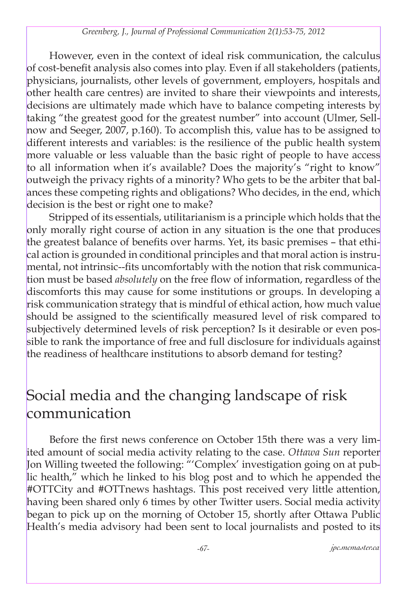However, even in the context of ideal risk communication, the calculus of cost-benefit analysis also comes into play. Even if all stakeholders (patients, physicians, journalists, other levels of government, employers, hospitals and other health care centres) are invited to share their viewpoints and interests, decisions are ultimately made which have to balance competing interests by taking "the greatest good for the greatest number" into account (Ulmer, Sellnow and Seeger, 2007, p.160). To accomplish this, value has to be assigned to different interests and variables: is the resilience of the public health system more valuable or less valuable than the basic right of people to have access to all information when it's available? Does the majority's "right to know" outweigh the privacy rights of a minority? Who gets to be the arbiter that balances these competing rights and obligations? Who decides, in the end, which decision is the best or right one to make?

Stripped of its essentials, utilitarianism is a principle which holds that the only morally right course of action in any situation is the one that produces the greatest balance of benefits over harms. Yet, its basic premises – that ethical action is grounded in conditional principles and that moral action is instrumental, not intrinsic--fits uncomfortably with the notion that risk communication must be based *absolutely* on the free flow of information, regardless of the discomforts this may cause for some institutions or groups. In developing a risk communication strategy that is mindful of ethical action, how much value should be assigned to the scientifically measured level of risk compared to subjectively determined levels of risk perception? Is it desirable or even possible to rank the importance of free and full disclosure for individuals against the readiness of healthcare institutions to absorb demand for testing?

#### Social media and the changing landscape of risk communication

Before the first news conference on October 15th there was a very limited amount of social media activity relating to the case. *Ottawa Sun* reporter Jon Willing tweeted the following: "'Complex' investigation going on at public health," which he linked to his blog post and to which he appended the #OTTCity and #OTTnews hashtags. This post received very little attention, having been shared only 6 times by other Twitter users. Social media activity began to pick up on the morning of October 15, shortly after Ottawa Public Health's media advisory had been sent to local journalists and posted to its

*-67- jpc.mcmaster.ca*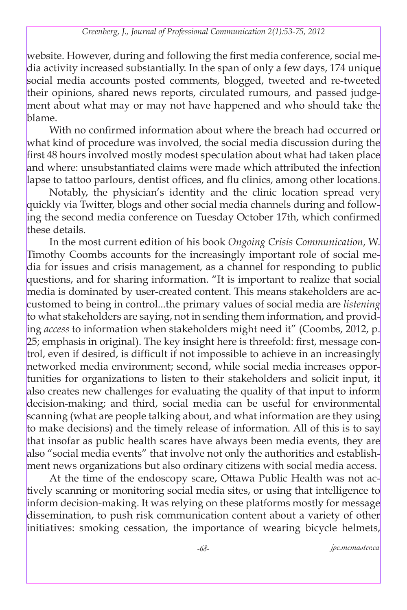website. However, during and following the first media conference, social media activity increased substantially. In the span of only a few days, 174 unique social media accounts posted comments, blogged, tweeted and re-tweeted their opinions, shared news reports, circulated rumours, and passed judgement about what may or may not have happened and who should take the blame.

With no confirmed information about where the breach had occurred or what kind of procedure was involved, the social media discussion during the first 48 hours involved mostly modest speculation about what had taken place and where: unsubstantiated claims were made which attributed the infection lapse to tattoo parlours, dentist offices, and flu clinics, among other locations.

Notably, the physician's identity and the clinic location spread very quickly via Twitter, blogs and other social media channels during and following the second media conference on Tuesday October 17th, which confirmed these details.

In the most current edition of his book *Ongoing Crisis Communication*, W. Timothy Coombs accounts for the increasingly important role of social media for issues and crisis management, as a channel for responding to public questions, and for sharing information. "It is important to realize that social media is dominated by user-created content. This means stakeholders are accustomed to being in control...the primary values of social media are *listening*  to what stakeholders are saying, not in sending them information, and providing *access* to information when stakeholders might need it" (Coombs, 2012, p. 25; emphasis in original). The key insight here is threefold: first, message control, even if desired, is difficult if not impossible to achieve in an increasingly networked media environment; second, while social media increases opportunities for organizations to listen to their stakeholders and solicit input, it also creates new challenges for evaluating the quality of that input to inform decision-making; and third, social media can be useful for environmental scanning (what are people talking about, and what information are they using to make decisions) and the timely release of information. All of this is to say that insofar as public health scares have always been media events, they are also "social media events" that involve not only the authorities and establishment news organizations but also ordinary citizens with social media access.

At the time of the endoscopy scare, Ottawa Public Health was not actively scanning or monitoring social media sites, or using that intelligence to inform decision-making. It was relying on these platforms mostly for message dissemination, to push risk communication content about a variety of other initiatives: smoking cessation, the importance of wearing bicycle helmets,

*-68- jpc.mcmaster.ca*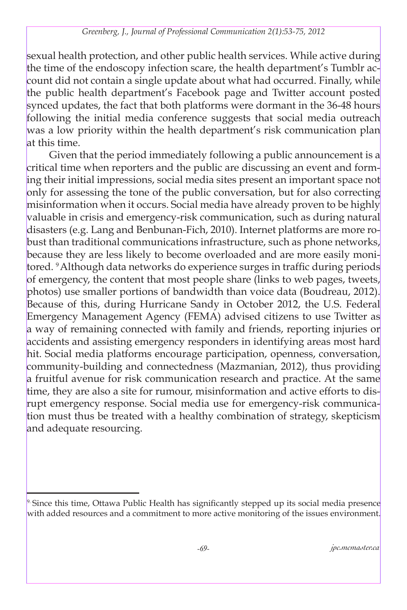sexual health protection, and other public health services. While active during the time of the endoscopy infection scare, the health department's Tumblr account did not contain a single update about what had occurred. Finally, while the public health department's Facebook page and Twitter account posted synced updates, the fact that both platforms were dormant in the 36-48 hours following the initial media conference suggests that social media outreach was a low priority within the health department's risk communication plan at this time.

Given that the period immediately following a public announcement is a critical time when reporters and the public are discussing an event and forming their initial impressions, social media sites present an important space not only for assessing the tone of the public conversation, but for also correcting misinformation when it occurs. Social media have already proven to be highly valuable in crisis and emergency-risk communication, such as during natural disasters (e.g. Lang and Benbunan-Fich, 2010). Internet platforms are more robust than traditional communications infrastructure, such as phone networks, because they are less likely to become overloaded and are more easily monitored. 9 Although data networks do experience surges in traffic during periods of emergency, the content that most people share (links to web pages, tweets, photos) use smaller portions of bandwidth than voice data (Boudreau, 2012). Because of this, during Hurricane Sandy in October 2012, the U.S. Federal Emergency Management Agency (FEMA) advised citizens to use Twitter as a way of remaining connected with family and friends, reporting injuries or accidents and assisting emergency responders in identifying areas most hard hit. Social media platforms encourage participation, openness, conversation, community-building and connectedness (Mazmanian, 2012), thus providing a fruitful avenue for risk communication research and practice. At the same time, they are also a site for rumour, misinformation and active efforts to disrupt emergency response. Social media use for emergency-risk communication must thus be treated with a healthy combination of strategy, skepticism and adequate resourcing.

 $9$  Since this time, Ottawa Public Health has significantly stepped up its social media presence with added resources and a commitment to more active monitoring of the issues environment.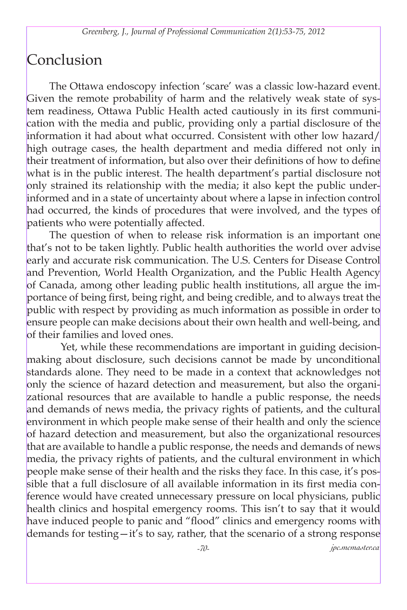#### Conclusion

The Ottawa endoscopy infection 'scare' was a classic low-hazard event. Given the remote probability of harm and the relatively weak state of system readiness, Ottawa Public Health acted cautiously in its first communication with the media and public, providing only a partial disclosure of the information it had about what occurred. Consistent with other low hazard/ high outrage cases, the health department and media differed not only in their treatment of information, but also over their definitions of how to define what is in the public interest. The health department's partial disclosure not only strained its relationship with the media; it also kept the public underinformed and in a state of uncertainty about where a lapse in infection control had occurred, the kinds of procedures that were involved, and the types of patients who were potentially affected.

The question of when to release risk information is an important one that's not to be taken lightly. Public health authorities the world over advise early and accurate risk communication. The U.S. Centers for Disease Control and Prevention, World Health Organization, and the Public Health Agency of Canada, among other leading public health institutions, all argue the importance of being first, being right, and being credible, and to always treat the public with respect by providing as much information as possible in order to ensure people can make decisions about their own health and well-being, and of their families and loved ones.

Yet, while these recommendations are important in guiding decisionmaking about disclosure, such decisions cannot be made by unconditional standards alone. They need to be made in a context that acknowledges not only the science of hazard detection and measurement, but also the organizational resources that are available to handle a public response, the needs and demands of news media, the privacy rights of patients, and the cultural environment in which people make sense of their health and only the science of hazard detection and measurement, but also the organizational resources that are available to handle a public response, the needs and demands of news media, the privacy rights of patients, and the cultural environment in which people make sense of their health and the risks they face. In this case, it's possible that a full disclosure of all available information in its first media conference would have created unnecessary pressure on local physicians, public health clinics and hospital emergency rooms. This isn't to say that it would have induced people to panic and "flood" clinics and emergency rooms with demands for testing—it's to say, rather, that the scenario of a strong response

*-70- jpc.mcmaster.ca*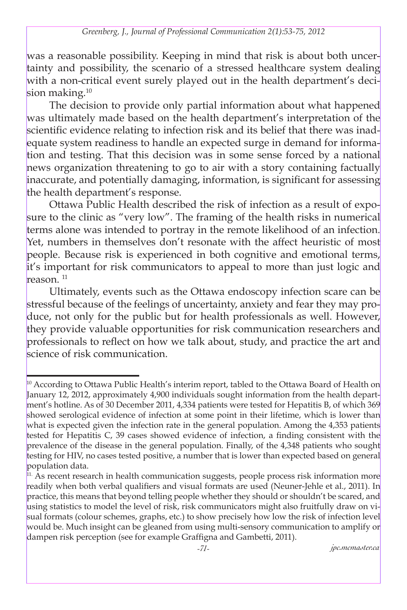was a reasonable possibility. Keeping in mind that risk is about both uncertainty and possibility, the scenario of a stressed healthcare system dealing with a non-critical event surely played out in the health department's decision making. $10$ 

The decision to provide only partial information about what happened was ultimately made based on the health department's interpretation of the scientific evidence relating to infection risk and its belief that there was inadequate system readiness to handle an expected surge in demand for information and testing. That this decision was in some sense forced by a national news organization threatening to go to air with a story containing factually inaccurate, and potentially damaging, information, is significant for assessing the health department's response.

Ottawa Public Health described the risk of infection as a result of exposure to the clinic as "very low". The framing of the health risks in numerical terms alone was intended to portray in the remote likelihood of an infection. Yet, numbers in themselves don't resonate with the affect heuristic of most people. Because risk is experienced in both cognitive and emotional terms, it's important for risk communicators to appeal to more than just logic and  $r$ eason.  $11$ 

Ultimately, events such as the Ottawa endoscopy infection scare can be stressful because of the feelings of uncertainty, anxiety and fear they may produce, not only for the public but for health professionals as well. However, they provide valuable opportunities for risk communication researchers and professionals to reflect on how we talk about, study, and practice the art and science of risk communication.

*-71- jpc.mcmaster.ca*

 $10$  According to Ottawa Public Health's interim report, tabled to the Ottawa Board of Health on January 12, 2012, approximately 4,900 individuals sought information from the health department's hotline. As of 30 December 2011, 4,334 patients were tested for Hepatitis B, of which 369 showed serological evidence of infection at some point in their lifetime, which is lower than what is expected given the infection rate in the general population. Among the 4,353 patients tested for Hepatitis C, 39 cases showed evidence of infection, a finding consistent with the prevalence of the disease in the general population. Finally, of the 4,348 patients who sought testing for HIV, no cases tested positive, a number that is lower than expected based on general population data.

 $\mathbb{I}^1$ . As recent research in health communication suggests, people process risk information more readily when both verbal qualifiers and visual formats are used (Neuner-Jehle et al., 2011). In practice, this means that beyond telling people whether they should or shouldn't be scared, and using statistics to model the level of risk, risk communicators might also fruitfully draw on visual formats (colour schemes, graphs, etc.) to show precisely how low the risk of infection level would be. Much insight can be gleaned from using multi-sensory communication to amplify or dampen risk perception (see for example Graffigna and Gambetti, 2011).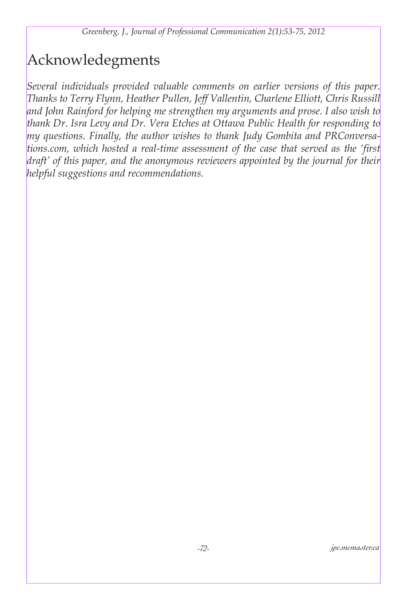## Acknowledegments

*Several individuals provided valuable comments on earlier versions of this paper. Thanks to Terry Flynn, Heather Pullen, Jeff Vallentin, Charlene Elliott, Chris Russill and John Rainford for helping me strengthen my arguments and prose. I also wish to thank Dr. Isra Levy and Dr. Vera Etches at Ottawa Public Health for responding to my questions. Finally, the author wishes to thank Judy Gombita and PRConversations.com, which hosted a real-time assessment of the case that served as the 'first draft' of this paper, and the anonymous reviewers appointed by the journal for their helpful suggestions and recommendations.*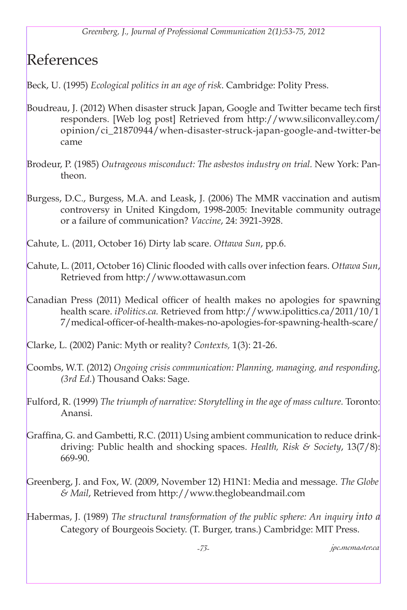*Greenberg, J., Journal of Professional Communication 2(1):53-75, 2012*

### References

Beck, U. (1995) *Ecological politics in an age of risk*. Cambridge: Polity Press.

- Boudreau, J. (2012) When disaster struck Japan, Google and Twitter became tech first responders. [Web log post] Retrieved from http://www.siliconvalley.com/ opinion/ci\_21870944/when-disaster-struck-japan-google-and-twitter-be came
- Brodeur, P. (1985) *Outrageous misconduct: The asbestos industry on trial.* New York: Pantheon.
- Burgess, D.C., Burgess, M.A. and Leask, J. (2006) The MMR vaccination and autism controversy in United Kingdom, 1998-2005: Inevitable community outrage or a failure of communication? *Vaccine*, 24: 3921-3928.

Cahute, L. (2011, October 16) Dirty lab scare. *Ottawa Sun*, pp.6.

- Cahute, L. (2011, October 16) Clinic flooded with calls over infection fears. *Ottawa Sun*, Retrieved from http://www.ottawasun.com
- Canadian Press (2011) Medical officer of health makes no apologies for spawning health scare. *iPolitics.ca.* Retrieved from http://www.ipolittics.ca/2011/10/1 7/medical-officer-of-health-makes-no-apologies-for-spawning-health-scare/
- Clarke, L. (2002) Panic: Myth or reality? *Contexts,* 1(3): 21-26.
- Coombs, W.T. (2012) *Ongoing crisis communication: Planning, managing, and responding, (3rd Ed.*) Thousand Oaks: Sage.
- Fulford, R. (1999) *The triumph of narrative: Storytelling in the age of mass culture.* Toronto: Anansi.
- Graffina, G. and Gambetti, R.C. (2011) Using ambient communication to reduce drinkdriving: Public health and shocking spaces. *Health, Risk & Society*, 13(7/8): 669-90.
- Greenberg, J. and Fox, W. (2009, November 12) H1N1: Media and message. *The Globe & Mail*, Retrieved from http://www.theglobeandmail.com
- Habermas, J. (1989) *The structural transformation of the public sphere: An inquiry into a* Category of Bourgeois Society. (T. Burger, trans.) Cambridge: MIT Press.

*-73- jpc.mcmaster.ca*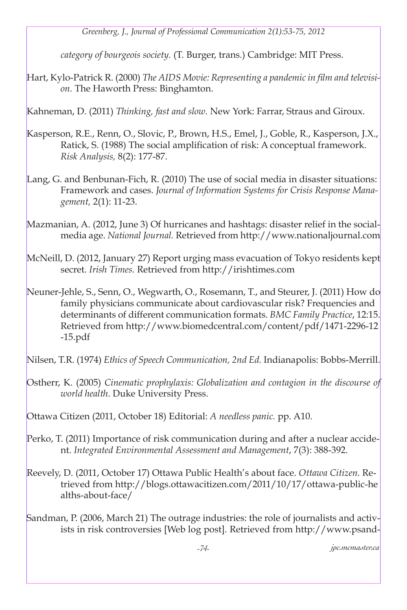*Greenberg, J., Journal of Professional Communication 2(1):53-75, 2012*

*category of bourgeois society.* (T. Burger, trans.) Cambridge: MIT Press.

Hart, Kylo-Patrick R. (2000) *The AIDS Movie: Representing a pandemic in film and television.* The Haworth Press: Binghamton.

Kahneman, D. (2011) *Thinking, fast and slow.* New York: Farrar, Straus and Giroux.

- Kasperson, R.E., Renn, O., Slovic, P., Brown, H.S., Emel, J., Goble, R., Kasperson, J.X., Ratick, S. (1988) The social amplification of risk: A conceptual framework. *Risk Analysis,* 8(2): 177-87.
- Lang, G. and Benbunan-Fich, R. (2010) The use of social media in disaster situations: Framework and cases. *Journal of Information Systems for Crisis Response Management,* 2(1): 11-23.
- Mazmanian, A. (2012, June 3) Of hurricanes and hashtags: disaster relief in the socialmedia age. *National Journal.* Retrieved from http://www.nationaljournal.com
- McNeill, D. (2012, January 27) Report urging mass evacuation of Tokyo residents kept secret. *Irish Times*. Retrieved from http://irishtimes.com
- Neuner-Jehle, S., Senn, O., Wegwarth, O., Rosemann, T., and Steurer, J. (2011) How do family physicians communicate about cardiovascular risk? Frequencies and determinants of different communication formats. *BMC Family Practice*, 12:15. Retrieved from http://www.biomedcentral.com/content/pdf/1471-2296-12 -15.pdf
- Nilsen, T.R. (1974) *Ethics of Speech Communication, 2nd Ed.* Indianapolis: Bobbs-Merrill.
- Ostherr, K. (2005) *Cinematic prophylaxis: Globalization and contagion in the discourse of world health*. Duke University Press.

Ottawa Citizen (2011, October 18) Editorial: *A needless panic.* pp. A10.

- Perko, T. (2011) Importance of risk communication during and after a nuclear accident. *Integrated Environmental Assessment and Management*, 7(3): 388-392.
- Reevely, D. (2011, October 17) Ottawa Public Health's about face. *Ottawa Citizen.* Retrieved from http://blogs.ottawacitizen.com/2011/10/17/ottawa-public-he alths-about-face/
- Sandman, P. (2006, March 21) The outrage industries: the role of journalists and activists in risk controversies [Web log post]. Retrieved from http://www.psand-

*-74- jpc.mcmaster.ca*